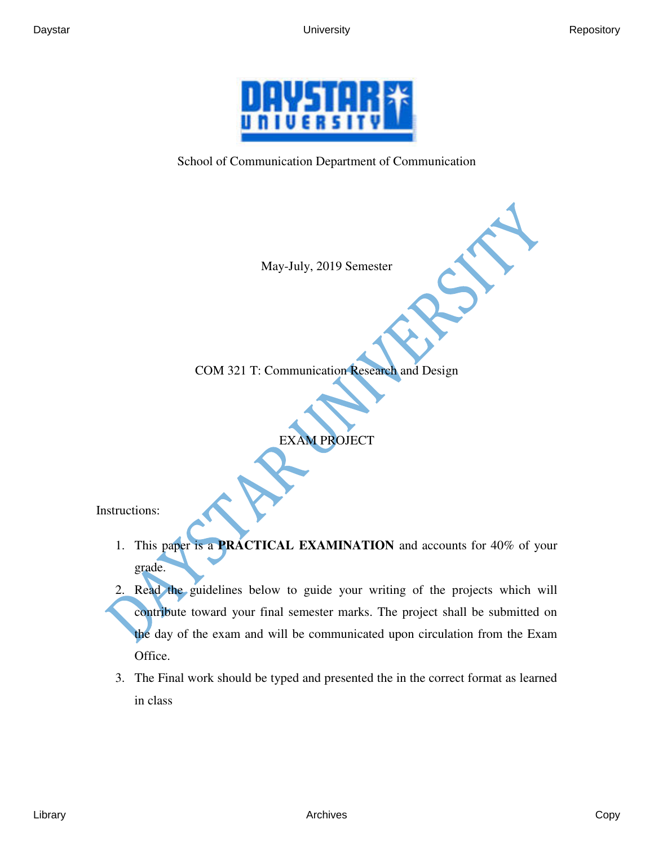

School of Communication Department of Communication

May-July, 2019 Semester

COM 321 T: Communication Research and Design

EXAM PROJECT

Instructions:

- 1. This paper is a **PRACTICAL EXAMINATION** and accounts for 40% of your grade.
- 2. Read the guidelines below to guide your writing of the projects which will contribute toward your final semester marks. The project shall be submitted on the day of the exam and will be communicated upon circulation from the Exam Office.
- 3. The Final work should be typed and presented the in the correct format as learned in class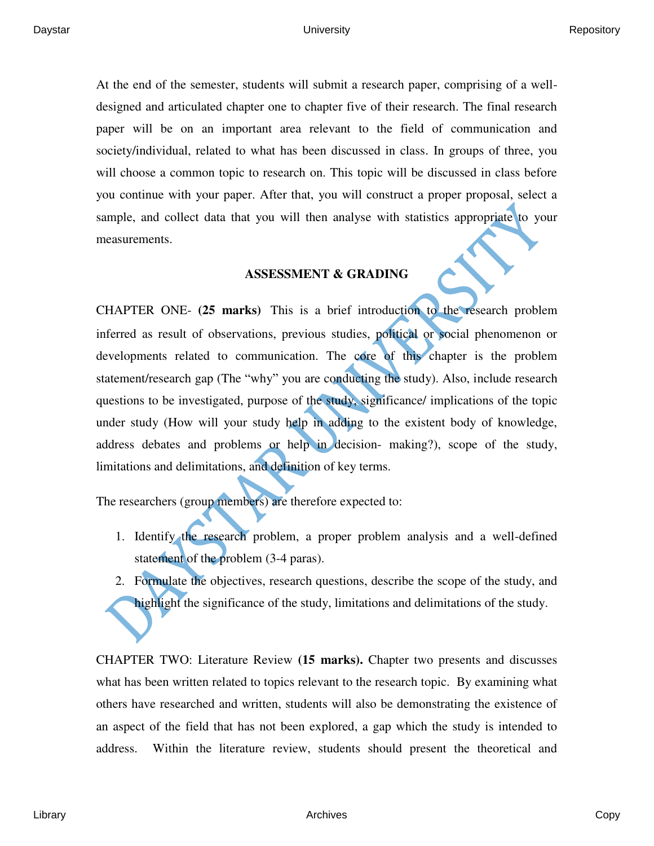At the end of the semester, students will submit a research paper, comprising of a welldesigned and articulated chapter one to chapter five of their research. The final research paper will be on an important area relevant to the field of communication and society/individual, related to what has been discussed in class. In groups of three, you will choose a common topic to research on. This topic will be discussed in class before you continue with your paper. After that, you will construct a proper proposal, select a sample, and collect data that you will then analyse with statistics appropriate to your measurements.

### **ASSESSMENT & GRADING**

CHAPTER ONE- **(25 marks)** This is a brief introduction to the research problem inferred as result of observations, previous studies, political or social phenomenon or developments related to communication. The core of this chapter is the problem statement/research gap (The "why" you are conducting the study). Also, include research questions to be investigated, purpose of the study, significance/ implications of the topic under study (How will your study help in adding to the existent body of knowledge, address debates and problems or help in decision- making?), scope of the study, limitations and delimitations, and definition of key terms.

The researchers (group members) are therefore expected to:

- 1. Identify the research problem, a proper problem analysis and a well-defined statement of the problem (3-4 paras).
- 2. Formulate the objectives, research questions, describe the scope of the study, and highlight the significance of the study, limitations and delimitations of the study.

CHAPTER TWO: Literature Review **(15 marks).** Chapter two presents and discusses what has been written related to topics relevant to the research topic. By examining what others have researched and written, students will also be demonstrating the existence of an aspect of the field that has not been explored, a gap which the study is intended to address. Within the literature review, students should present the theoretical and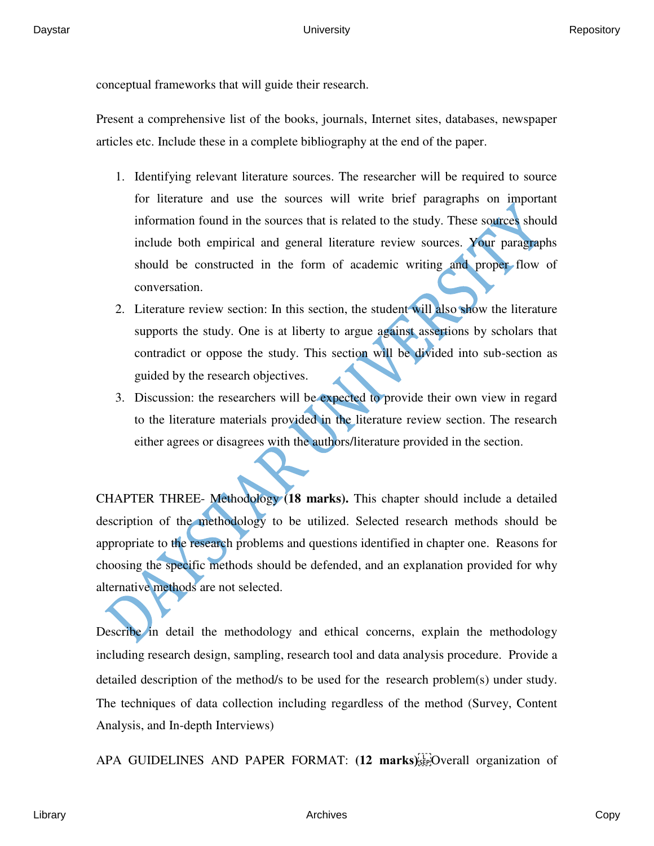conceptual frameworks that will guide their research.

Present a comprehensive list of the books, journals, Internet sites, databases, newspaper articles etc. Include these in a complete bibliography at the end of the paper.

- 1. Identifying relevant literature sources. The researcher will be required to source for literature and use the sources will write brief paragraphs on important information found in the sources that is related to the study. These sources should include both empirical and general literature review sources. Your paragraphs should be constructed in the form of academic writing and proper flow of conversation.
- 2. Literature review section: In this section, the student will also show the literature supports the study. One is at liberty to argue against assertions by scholars that contradict or oppose the study. This section will be divided into sub-section as guided by the research objectives.
- 3. Discussion: the researchers will be expected to provide their own view in regard to the literature materials provided in the literature review section. The research either agrees or disagrees with the authors/literature provided in the section.

CHAPTER THREE- Methodology **(18 marks).** This chapter should include a detailed description of the methodology to be utilized. Selected research methods should be appropriate to the research problems and questions identified in chapter one. Reasons for choosing the specific methods should be defended, and an explanation provided for why alternative methods are not selected.

Describe in detail the methodology and ethical concerns, explain the methodology including research design, sampling, research tool and data analysis procedure. Provide a detailed description of the method/s to be used for the research problem(s) under study. The techniques of data collection including regardless of the method (Survey, Content Analysis, and In-depth Interviews)

APA GUIDELINES AND PAPER FORMAT: (12 marks) Fee Overall organization of

Library Archives Copy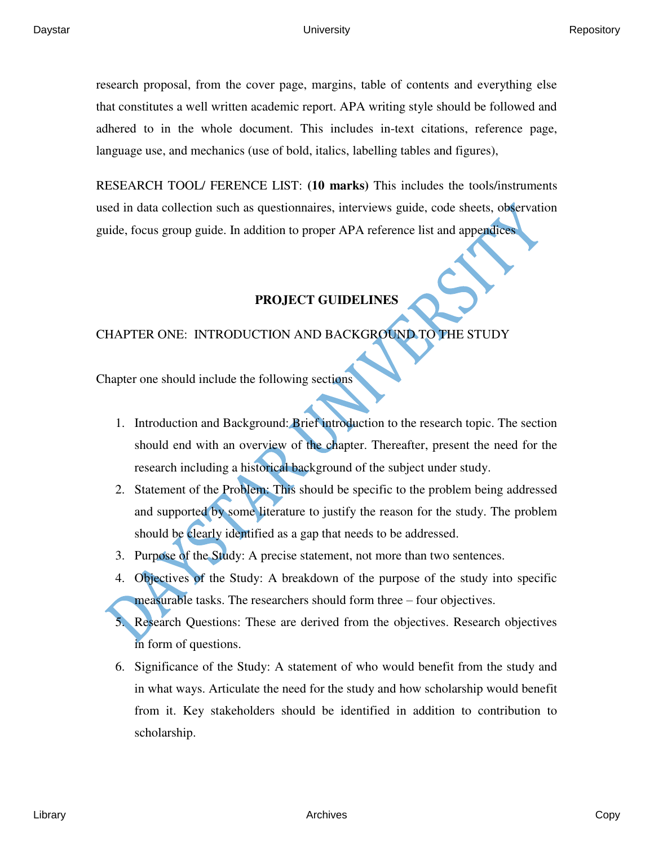research proposal, from the cover page, margins, table of contents and everything else that constitutes a well written academic report. APA writing style should be followed and adhered to in the whole document. This includes in-text citations, reference page, language use, and mechanics (use of bold, italics, labelling tables and figures),

RESEARCH TOOL/ FERENCE LIST: **(10 marks)** This includes the tools/instruments used in data collection such as questionnaires, interviews guide, code sheets, observation guide, focus group guide. In addition to proper APA reference list and appendices

# **PROJECT GUIDELINES**

## CHAPTER ONE: INTRODUCTION AND BACKGROUND TO THE STUDY

Chapter one should include the following sections

- 1. Introduction and Background: Brief introduction to the research topic. The section should end with an overview of the chapter. Thereafter, present the need for the research including a historical background of the subject under study.
- 2. Statement of the Problem: This should be specific to the problem being addressed and supported by some literature to justify the reason for the study. The problem should be clearly identified as a gap that needs to be addressed.
- 3. Purpose of the Study: A precise statement, not more than two sentences.
- 4. Objectives of the Study: A breakdown of the purpose of the study into specific measurable tasks. The researchers should form three – four objectives.
- 5. Research Questions: These are derived from the objectives. Research objectives in form of questions.
- 6. Significance of the Study: A statement of who would benefit from the study and in what ways. Articulate the need for the study and how scholarship would benefit from it. Key stakeholders should be identified in addition to contribution to scholarship.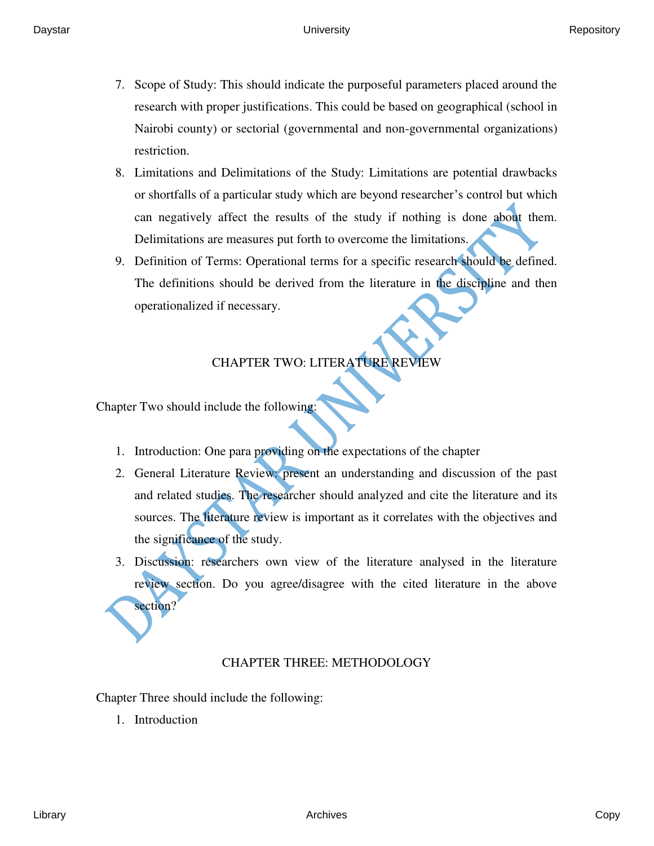- 7. Scope of Study: This should indicate the purposeful parameters placed around the research with proper justifications. This could be based on geographical (school in Nairobi county) or sectorial (governmental and non-governmental organizations) restriction.
- 8. Limitations and Delimitations of the Study: Limitations are potential drawbacks or shortfalls of a particular study which are beyond researcher's control but which can negatively affect the results of the study if nothing is done about them. Delimitations are measures put forth to overcome the limitations.
- 9. Definition of Terms: Operational terms for a specific research should be defined. The definitions should be derived from the literature in the discipline and then operationalized if necessary.

# CHAPTER TWO: LITERATURE REVIEW

Chapter Two should include the following:

- 1. Introduction: One para providing on the expectations of the chapter
- 2. General Literature Review: present an understanding and discussion of the past and related studies. The researcher should analyzed and cite the literature and its sources. The literature review is important as it correlates with the objectives and the significance of the study.
- 3. Discussion: researchers own view of the literature analysed in the literature review section. Do you agree/disagree with the cited literature in the above section?

## CHAPTER THREE: METHODOLOGY

Chapter Three should include the following:

1. Introduction